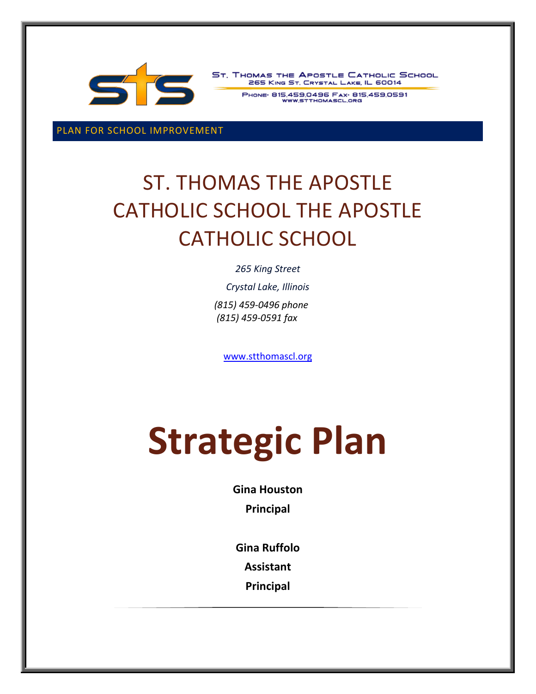

ST. THOMAS THE APOSTLE CATHOLIC SCHOOL 265 KING ST. CRYSTAL LAKE, IL 60014

PHONE: 815.459.0496 FAX: 815.459.0591

PLAN FOR SCHOOL IMPROVEMENT

## ST. THOMAS THE APOSTLE CATHOLIC SCHOOL THE APOSTLE CATHOLIC SCHOOL

*265 King Street*

*Crystal Lake, Illinois (815) 459-0496 phone (815) 459-0591 fax*

[www.stthomascl.org](http://www.stthomascl.org/)

# **Strategic Plan**

**Gina Houston Principal** 

**Gina Ruffolo**

**Assistant** 

**Principal**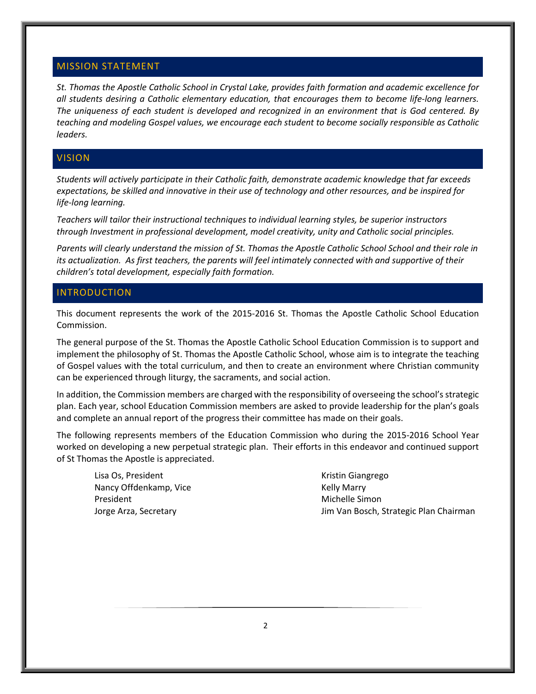#### MISSION STATEMENT

*St. Thomas the Apostle Catholic School in Crystal Lake, provides faith formation and academic excellence for all students desiring a Catholic elementary education, that encourages them to become life-long learners. The uniqueness of each student is developed and recognized in an environment that is God centered. By teaching and modeling Gospel values, we encourage each student to become socially responsible as Catholic leaders.*

#### **VISION**

*Students will actively participate in their Catholic faith, demonstrate academic knowledge that far exceeds expectations, be skilled and innovative in their use of technology and other resources, and be inspired for life-long learning.*

*Teachers will tailor their instructional techniques to individual learning styles, be superior instructors through Investment in professional development, model creativity, unity and Catholic social principles.*

*Parents will clearly understand the mission of St. Thomas the Apostle Catholic School School and their role in its actualization. As first teachers, the parents will feel intimately connected with and supportive of their children's total development, especially faith formation.*

#### INTRODUCTION

This document represents the work of the 2015-2016 St. Thomas the Apostle Catholic School Education Commission.

The general purpose of the St. Thomas the Apostle Catholic School Education Commission is to support and implement the philosophy of St. Thomas the Apostle Catholic School, whose aim is to integrate the teaching of Gospel values with the total curriculum, and then to create an environment where Christian community can be experienced through liturgy, the sacraments, and social action.

In addition, the Commission members are charged with the responsibility of overseeing the school's strategic plan. Each year, school Education Commission members are asked to provide leadership for the plan's goals and complete an annual report of the progress their committee has made on their goals.

The following represents members of the Education Commission who during the 2015-2016 School Year worked on developing a new perpetual strategic plan. Their efforts in this endeavor and continued support of St Thomas the Apostle is appreciated.

Lisa Os, President Nancy Offdenkamp, Vice President Jorge Arza, Secretary

Kristin Giangrego Kelly Marry Michelle Simon Jim Van Bosch, Strategic Plan Chairman